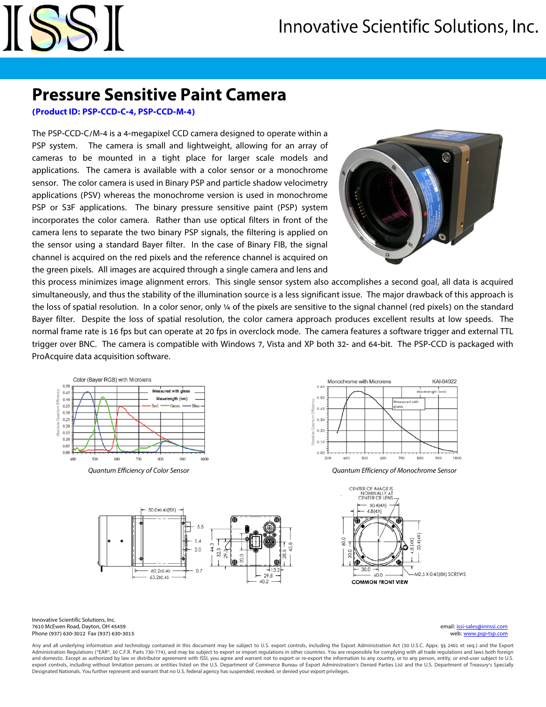

### **Pressure Sensitive Paint Camera**

#### **(Product ID: PSP-CCD-C-4, PSP-CCD-M-4)**

The PSP-CCD-C/M-4 is a 4-megapixel CCD camera designed to operate within a PSP system. The camera is small and lightweight, allowing for an array of cameras to be mounted in a tight place for larger scale models and applications. The camera is available with a color sensor or a monochrome sensor. The color camera is used in Binary PSP and particle shadow velocimetry applications (PSV) whereas the monochrome version is used in monochrome PSP or S3F applications. The binary pressure sensitive paint (PSP) system incorporates the color camera. Rather than use optical filters in front of the camera lens to separate the two binary PSP signals, the filtering is applied on the sensor using a standard Bayer filter. In the case of Binary FIB, the signal channel is acquired on the red pixels and the reference channel is acquired on the green pixels. All images are acquired through a single camera and lens and



this process minimizes image alignment errors. This single sensor system also accomplishes a second goal, all data is acquired simultaneously, and thus the stability of the illumination source is a less significant issue. The major drawback of this approach is the loss of spatial resolution. In a color senor, only ¼ of the pixels are sensitive to the signal channel (red pixels) on the standard Bayer filter. Despite the loss of spatial resolution, the color camera approach produces excellent results at low speeds. The normal frame rate is 16 fps but can operate at 20 fps in overclock mode. The camera features a software trigger and external TTL trigger over BNC. The camera is compatible with Windows 7, Vista and XP both 32- and 64-bit. The PSP-CCD is packaged with ProAcquire data acquisition software.





 *Quantum Efficiency of Color Sensor Quantum Efficiency of Monochrome Sensor*





Innovative Scientific Solutions, Inc. 7610 McEwen Road, Dayton, OH 45459 email: [issi-sales@innssi.com](mailto:issi-sales@innssi.com) Phone (937) 630-3012 Fax (937) 630-3015 **web:** web[: www.psp-tsp.com](http://www.psp-tsp.com/) web: www.psp-tsp.com web: www.psp-tsp.com web: www.psp-tsp.com web: www.psp-tsp.com web: www.psp-tsp.com web: www.psp-tsp.com web: www.psp-tsp.com web: ww

Any and all underlying information and technology contained in this document may be subject to U.S. export controls, including the Export Administration Act (50 U.S.C. Appx. §§ 2401 et seq.) and the Export Administration Regulations ("EAR", 50 C.F.R. Parts 730-774), and may be subject to export or import regulations in other countries. You are responsible for complying with all trade regulations and laws both foreign and domestic. Except as authorized by law or distributor agreement with ISSI, you agree and warrant not to export or re-export the information to any country, or to any person, entity, or end-user subject to U.S. export controls, including without limitation persons or entities listed on the U.S. Department of Commerce Bureau of Export Administration's Denied Parties List and the U.S. Department of Treasury's Specially Designated Nationals. You further represent and warrant that no U.S. federal agency has suspended, revoked, or denied your export privileges.